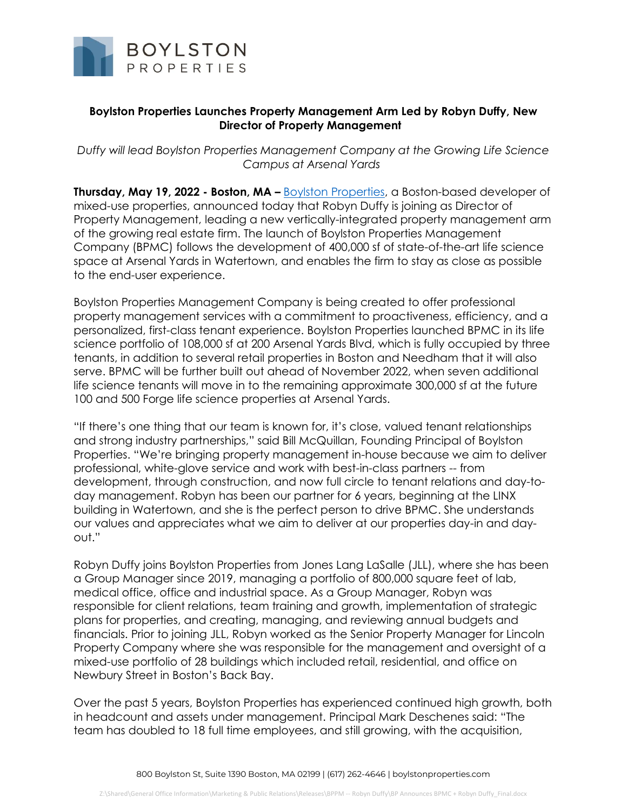

## **Boylston Properties Launches Property Management Arm Led by Robyn Duffy, New Director of Property Management**

*Duffy will lead Boylston Properties Management Company at the Growing Life Science Campus at Arsenal Yards*

**Thursday, May 19, 2022 - Boston, MA –** [Boylston Properties,](http://www.boylstonproperties.com/) a Boston-based developer of mixed-use properties, announced today that Robyn Duffy is joining as Director of Property Management, leading a new vertically-integrated property management arm of the growing real estate firm. The launch of Boylston Properties Management Company (BPMC) follows the development of 400,000 sf of state-of-the-art life science space at Arsenal Yards in Watertown, and enables the firm to stay as close as possible to the end-user experience.

Boylston Properties Management Company is being created to offer professional property management services with a commitment to proactiveness, efficiency, and a personalized, first-class tenant experience. Boylston Properties launched BPMC in its life science portfolio of 108,000 sf at 200 Arsenal Yards Blvd, which is fully occupied by three tenants, in addition to several retail properties in Boston and Needham that it will also serve. BPMC will be further built out ahead of November 2022, when seven additional life science tenants will move in to the remaining approximate 300,000 sf at the future 100 and 500 Forge life science properties at Arsenal Yards.

"If there's one thing that our team is known for, it's close, valued tenant relationships and strong industry partnerships," said Bill McQuillan, Founding Principal of Boylston Properties. "We're bringing property management in-house because we aim to deliver professional, white-glove service and work with best-in-class partners -- from development, through construction, and now full circle to tenant relations and day-today management. Robyn has been our partner for 6 years, beginning at the LINX building in Watertown, and she is the perfect person to drive BPMC. She understands our values and appreciates what we aim to deliver at our properties day-in and dayout."

Robyn Duffy joins Boylston Properties from Jones Lang LaSalle (JLL), where she has been a Group Manager since 2019, managing a portfolio of 800,000 square feet of lab, medical office, office and industrial space. As a Group Manager, Robyn was responsible for client relations, team training and growth, implementation of strategic plans for properties, and creating, managing, and reviewing annual budgets and financials. Prior to joining JLL, Robyn worked as the Senior Property Manager for Lincoln Property Company where she was responsible for the management and oversight of a mixed-use portfolio of 28 buildings which included retail, residential, and office on Newbury Street in Boston's Back Bay.

Over the past 5 years, Boylston Properties has experienced continued high growth, both in headcount and assets under management. Principal Mark Deschenes said: "The team has doubled to 18 full time employees, and still growing, with the acquisition,